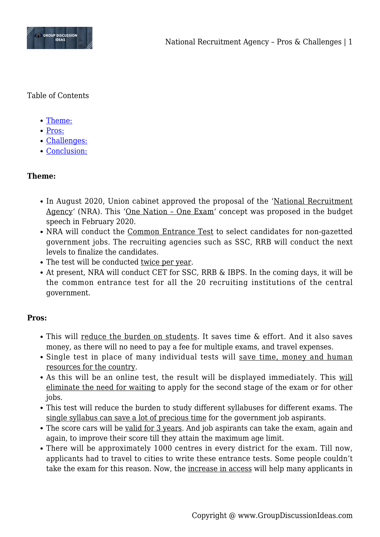

Table of Contents

- [Theme:](#page--1-0)
- [Pros:](#page--1-0)
- [Challenges:](#page--1-0)
- [Conclusion:](#page--1-0)

### **Theme:**

- In August 2020, Union cabinet approved the proposal of the 'National Recruitment Agency' (NRA). This 'One Nation – One Exam' concept was proposed in the budget speech in February 2020.
- NRA will conduct the Common Entrance Test to select candidates for non-gazetted government jobs. The recruiting agencies such as SSC, RRB will conduct the next levels to finalize the candidates.
- The test will be conducted twice per year.
- At present, NRA will conduct CET for SSC, RRB & IBPS. In the coming days, it will be the common entrance test for all the 20 recruiting institutions of the central government.

#### **Pros:**

- This will reduce the burden on students. It saves time & effort. And it also saves money, as there will no need to pay a fee for multiple exams, and travel expenses.
- Single test in place of many individual tests will save time, money and human resources for the country.
- As this will be an online test, the result will be displayed immediately. This will eliminate the need for waiting to apply for the second stage of the exam or for other jobs.
- This test will reduce the burden to study different syllabuses for different exams. The single syllabus can save a lot of precious time for the government job aspirants.
- The score cars will be valid for 3 years. And job aspirants can take the exam, again and again, to improve their score till they attain the maximum age limit.
- There will be approximately 1000 centres in every district for the exam. Till now, applicants had to travel to cities to write these entrance tests. Some people couldn't take the exam for this reason. Now, the increase in access will help many applicants in